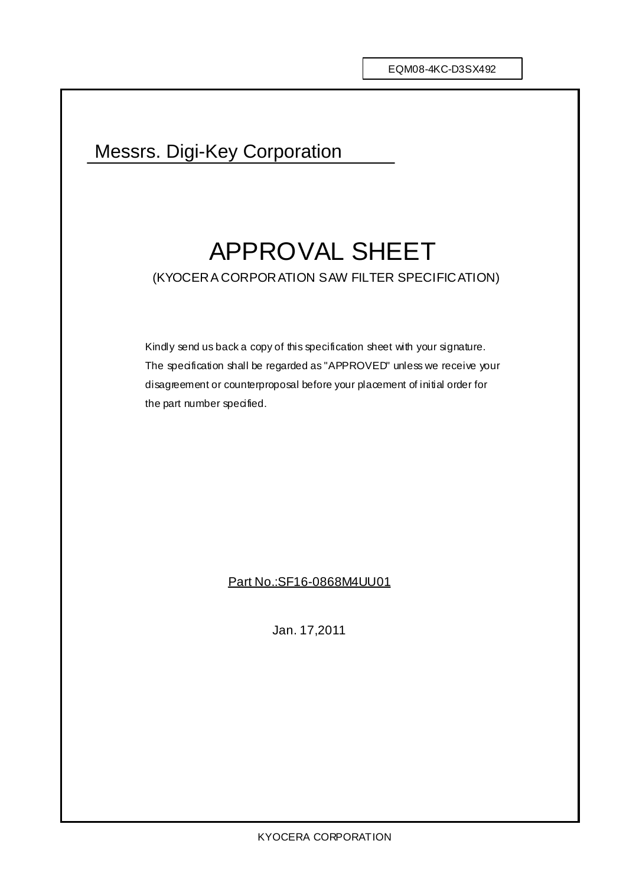## Messrs. Digi-Key Corporation

# APPROVAL SHEET (KYOCERA CORPORATION SAW FILTER SPECIFICATION)

Kindly send us back a copy of this specification sheet with your signature. The specification shall be regarded as "APPROVED" unless we receive your disagreement or counterproposal before your placement of initial order for the part number specified.

Part No.:SF16-0868M4UU01

Jan. 17,2011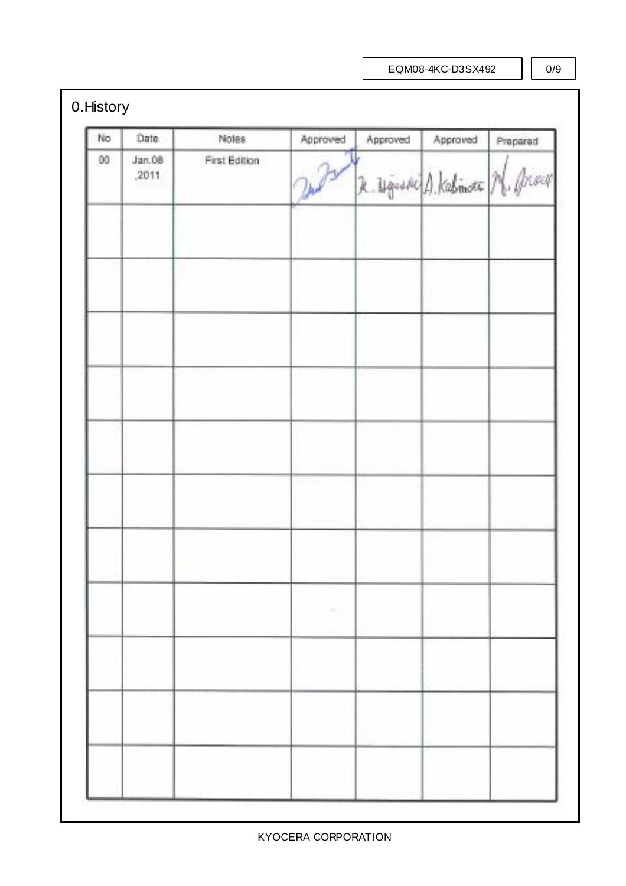EQM08-4KC-D3SX492

0/9

## 0.History

| No | Date            | Notes          | Approved | Approved                       | Approved | Prepared |
|----|-----------------|----------------|----------|--------------------------------|----------|----------|
| 00 | Jan.08<br>,2011 | First Edition: | 2 Por    | R. Ugushi A. Kalimata N. Brown |          |          |
|    |                 |                |          |                                |          |          |
|    |                 |                |          |                                |          |          |
|    |                 |                |          |                                |          |          |
|    |                 |                |          |                                |          |          |
|    |                 |                |          |                                |          |          |
|    |                 |                |          |                                |          |          |
|    |                 |                |          |                                |          |          |
|    |                 |                |          |                                |          |          |
|    |                 |                |          |                                |          |          |
|    |                 |                |          |                                |          |          |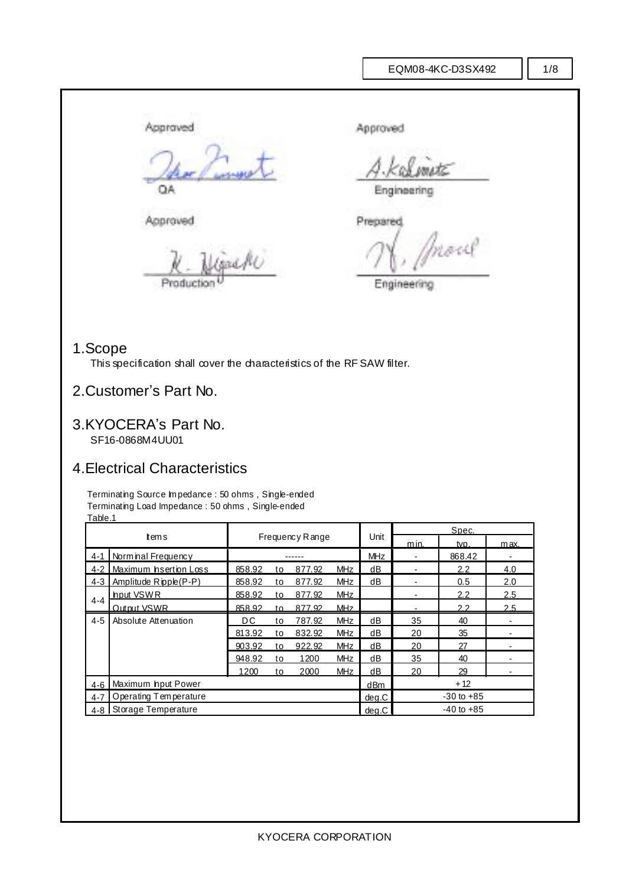#### 1/8

Approved Approved QA Engineering

Approved Prepared .<br>nast

Production <sup>U</sup> Engineering

### 1.Scope

This specification shall cover the characteristics of the RF SAW filter.

### 2.Customer's Part No.

# 3.KYOCERA's Part No.

SF16-0868M4UU01

### 4.Electrical Characteristics

Terminating Source Im pedance : 50 ohms, Single-ended Terminating Load Impedance : 50 ohms , Single-ended Table.1

|                                  | 1 avro. 1                |                 |     | Spec.  |                |            |                          |                |      |
|----------------------------------|--------------------------|-----------------|-----|--------|----------------|------------|--------------------------|----------------|------|
| tems                             |                          | Frequency Range |     |        |                | Unit       | m in.                    | tvp.           | max. |
|                                  | 4-1   Norminal Frequency |                 |     |        |                | <b>MHz</b> |                          | 868.42         |      |
| $4 - 2$                          | Maximum hsertion Loss    | 858.92          | to  | 877.92 | <b>MHz</b>     | dB         |                          | 2.2            | 4.0  |
| $4 - 3$                          | Amplitude Ripple(P-P)    | 858.92          | to  | 877.92 | <b>MHz</b>     | dB         |                          | 0.5            | 2.0  |
|                                  | hput VSWR                | 858.92          | to  | 877.92 | <b>MHz</b>     |            | $\overline{\phantom{0}}$ | 2.2            | 2.5  |
| $4 - 4$                          | Output VSWR              | 858.92          | to. | 877.92 | <b>MHz</b>     |            |                          | 2.2            | 2.5  |
| $4 - 5$                          | Absolute Attenuation     | DC.             | to  | 787.92 | <b>MHz</b>     | dB         | 35                       | 40             |      |
|                                  |                          | 813.92          | to  | 832.92 | <b>MHz</b>     | dB         | 20                       | 35             |      |
|                                  |                          | 903.92          | to  | 922.92 | <b>MHz</b>     | dB         | 20                       | 27             |      |
|                                  |                          | 948.92          | to  | 1200   | <b>MHz</b>     | dB         | 35                       | 40             |      |
|                                  |                          | 1200            | to  | 2000   | <b>MHz</b>     | dВ         | 20                       | 29             |      |
| $4-6$                            | Maximum hput Power       |                 |     |        |                | dBm        |                          | $+12$          |      |
| Operating Temperature<br>$4 - 7$ |                          |                 |     | deq.C  | $-30$ to $+85$ |            |                          |                |      |
| $4 - 8$                          | Storage Temperature      |                 |     |        |                | deq.C      |                          | $-40$ to $+85$ |      |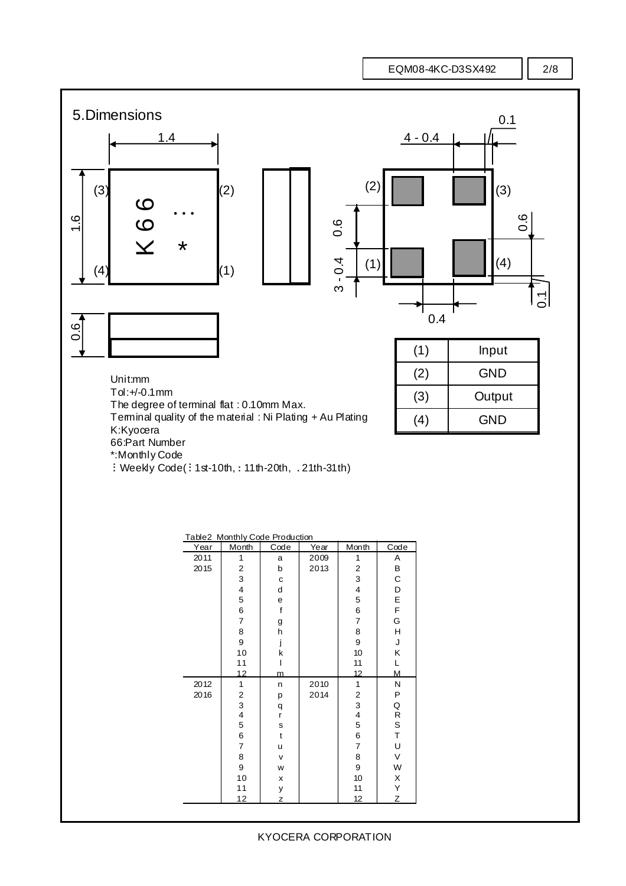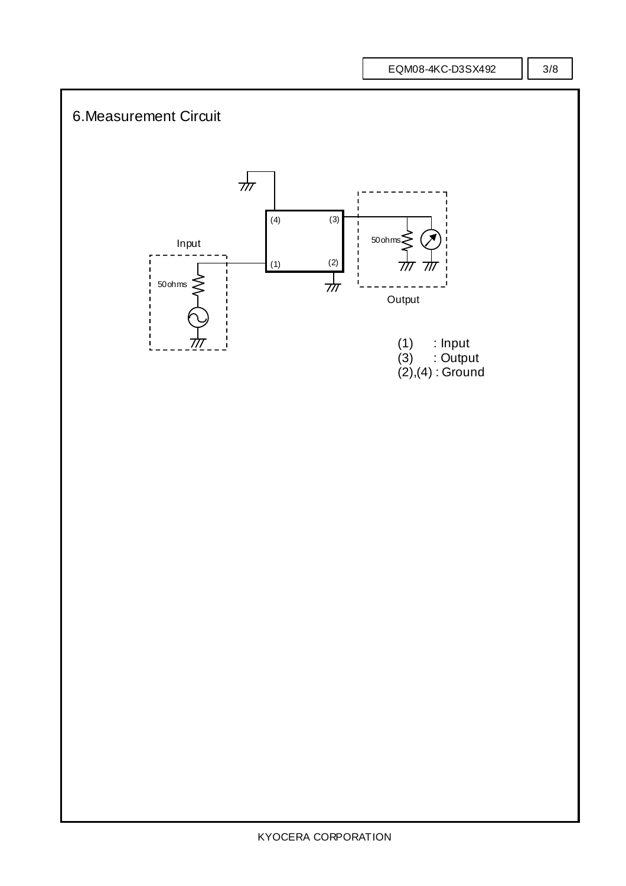EQM08-4KC-D3SX492

#### 3/8

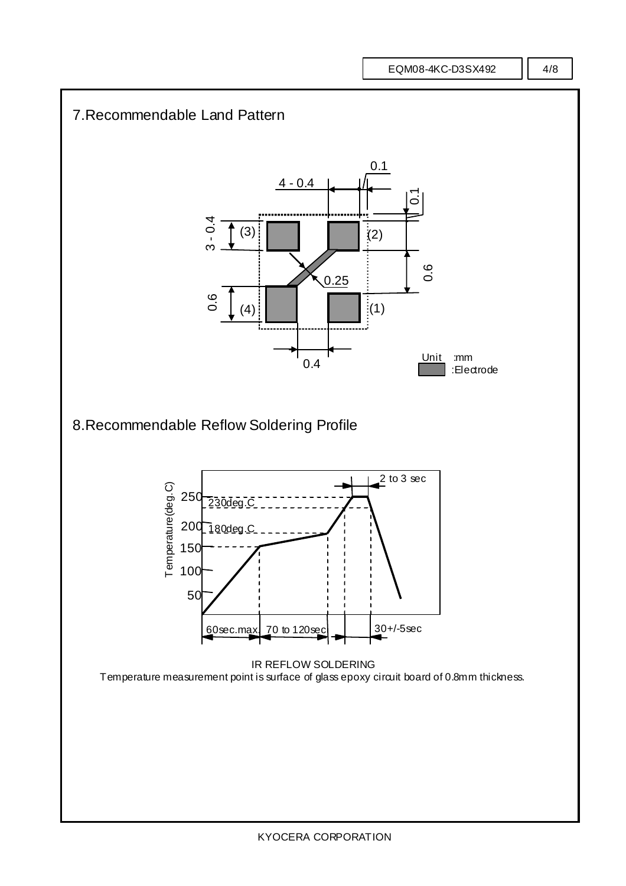EQM08-4KC-D3SX492

4/8

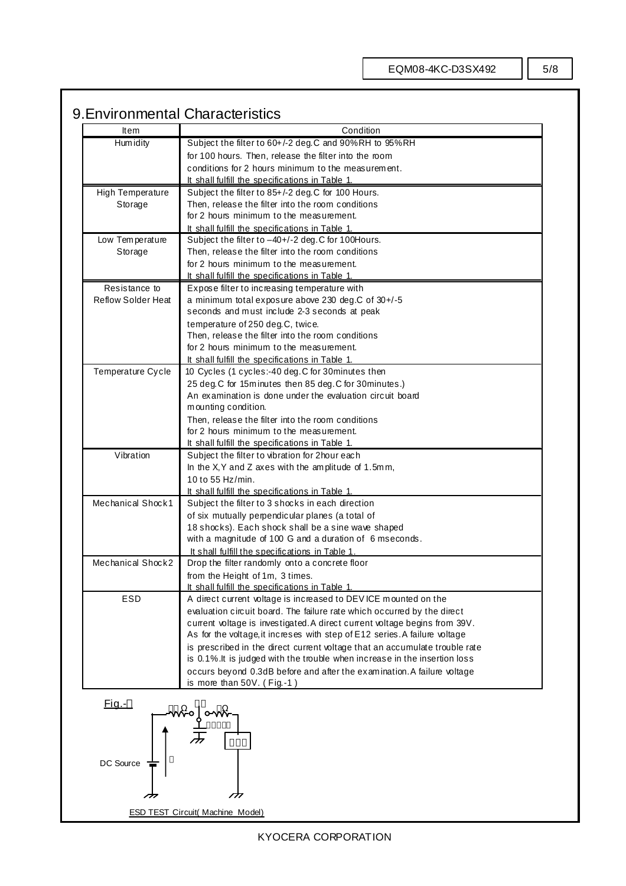### 9.Environmental Characteristics

| Item<br>Hum idity                                                                            |                                                       |  |  |  |  |  |
|----------------------------------------------------------------------------------------------|-------------------------------------------------------|--|--|--|--|--|
|                                                                                              | Subject the filter to 60+/-2 deg.C and 90%RH to 95%RH |  |  |  |  |  |
| for 100 hours. Then, release the filter into the room                                        |                                                       |  |  |  |  |  |
| conditions for 2 hours minimum to the measurement.                                           |                                                       |  |  |  |  |  |
| It shall fulfill the specifications in Table 1.                                              |                                                       |  |  |  |  |  |
| <b>High Temperature</b><br>Subject the filter to 85+/-2 deg.C for 100 Hours.                 |                                                       |  |  |  |  |  |
| Then, release the filter into the room conditions<br>Storage                                 |                                                       |  |  |  |  |  |
| for 2 hours minimum to the measurement.                                                      |                                                       |  |  |  |  |  |
| It shall fulfill the specifications in Table 1.                                              |                                                       |  |  |  |  |  |
| Subject the filter to -40+/-2 deg.C for 100Hours.<br>Low Temperature                         |                                                       |  |  |  |  |  |
| Then, release the filter into the room conditions<br>Storage                                 |                                                       |  |  |  |  |  |
| for 2 hours minimum to the measurement.                                                      |                                                       |  |  |  |  |  |
| It shall fulfill the specifications in Table 1.                                              |                                                       |  |  |  |  |  |
| Expose filter to increasing temperature with<br>Resistance to                                |                                                       |  |  |  |  |  |
| <b>Reflow Solder Heat</b>                                                                    | a minimum total exposure above 230 deg.C of 30+/-5    |  |  |  |  |  |
| seconds and must include 2-3 seconds at peak                                                 |                                                       |  |  |  |  |  |
| temperature of 250 deg.C, twice.                                                             |                                                       |  |  |  |  |  |
| Then, release the filter into the room conditions                                            |                                                       |  |  |  |  |  |
| for 2 hours minimum to the measurement.                                                      |                                                       |  |  |  |  |  |
| It shall fulfill the specifications in Table 1.                                              |                                                       |  |  |  |  |  |
| Temperature Cycle<br>10 Cycles (1 cycles:-40 deg.C for 30minutes then                        |                                                       |  |  |  |  |  |
| 25 deg.C for 15m inutes then 85 deg.C for 30minutes.)                                        |                                                       |  |  |  |  |  |
| An examination is done under the evaluation circuit board                                    |                                                       |  |  |  |  |  |
| mounting condition.                                                                          |                                                       |  |  |  |  |  |
| Then, release the filter into the room conditions<br>for 2 hours minimum to the measurement. |                                                       |  |  |  |  |  |
| It shall fulfill the specifications in Table 1.                                              |                                                       |  |  |  |  |  |
| Vibration<br>Subject the filter to vibration for 2hour each                                  |                                                       |  |  |  |  |  |
| In the X, Y and Z axes with the amplitude of 1.5mm,                                          |                                                       |  |  |  |  |  |
| 10 to 55 Hz/min.                                                                             |                                                       |  |  |  |  |  |
| It shall fulfill the specifications in Table 1.                                              |                                                       |  |  |  |  |  |
| Mechanical Shock1<br>Subject the filter to 3 shocks in each direction                        |                                                       |  |  |  |  |  |
| of six mutually perpendicular planes (a total of                                             |                                                       |  |  |  |  |  |
| 18 shocks). Each shock shall be a sine wave shaped                                           |                                                       |  |  |  |  |  |
| with a magnitude of 100 G and a duration of 6 mseconds.                                      |                                                       |  |  |  |  |  |
| It shall fulfill the specifications in Table 1.                                              |                                                       |  |  |  |  |  |
| Mechanical Shock2<br>Drop the filter randomly onto a concrete floor                          |                                                       |  |  |  |  |  |
| from the Height of 1m, 3 times.                                                              |                                                       |  |  |  |  |  |
| It shall fulfill the specifications in Table 1.                                              |                                                       |  |  |  |  |  |
| ESD<br>A direct current voltage is increased to DEVICE mounted on the                        |                                                       |  |  |  |  |  |
| evaluation circuit board. The failure rate which occurred by the direct                      |                                                       |  |  |  |  |  |
| current voltage is investigated. A direct current voltage begins from 39V.                   |                                                       |  |  |  |  |  |
| As for the voltage, it increses with step of E12 series. A failure voltage                   |                                                       |  |  |  |  |  |
| is prescribed in the direct current voltage that an accumulate trouble rate                  |                                                       |  |  |  |  |  |
| is 0.1%. It is judged with the trouble when increase in the insertion loss                   |                                                       |  |  |  |  |  |
| occurs beyond 0.3dB before and after the examination. A failure voltage                      |                                                       |  |  |  |  |  |
| is more than 50V. (Fig.-1)                                                                   |                                                       |  |  |  |  |  |
| <u>Fig.-</u>                                                                                 |                                                       |  |  |  |  |  |
|                                                                                              |                                                       |  |  |  |  |  |
|                                                                                              |                                                       |  |  |  |  |  |
|                                                                                              |                                                       |  |  |  |  |  |
|                                                                                              |                                                       |  |  |  |  |  |
| DC Source                                                                                    |                                                       |  |  |  |  |  |
|                                                                                              |                                                       |  |  |  |  |  |
|                                                                                              |                                                       |  |  |  |  |  |
|                                                                                              |                                                       |  |  |  |  |  |
| <b>ESD TEST Circuit( Machine Model)</b>                                                      |                                                       |  |  |  |  |  |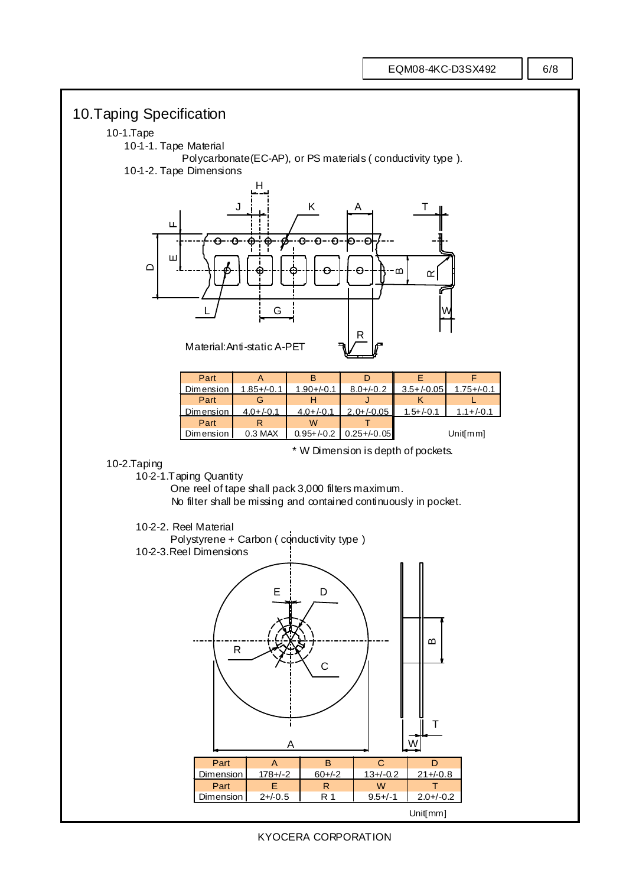



KYOCERA CORPORATION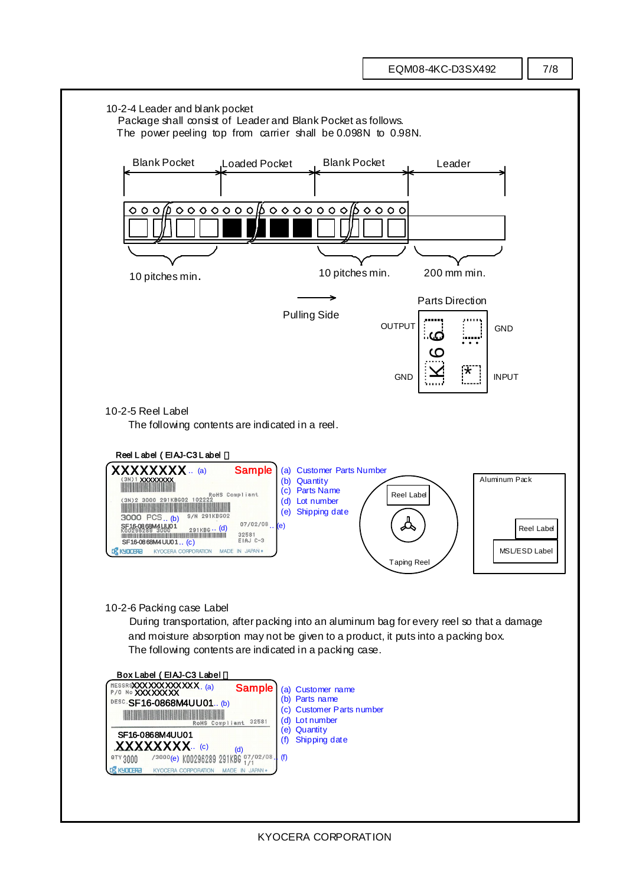